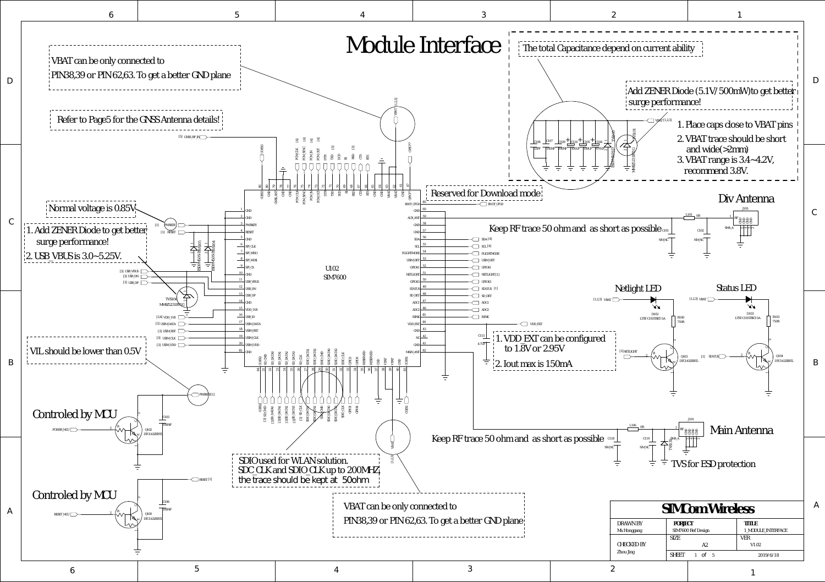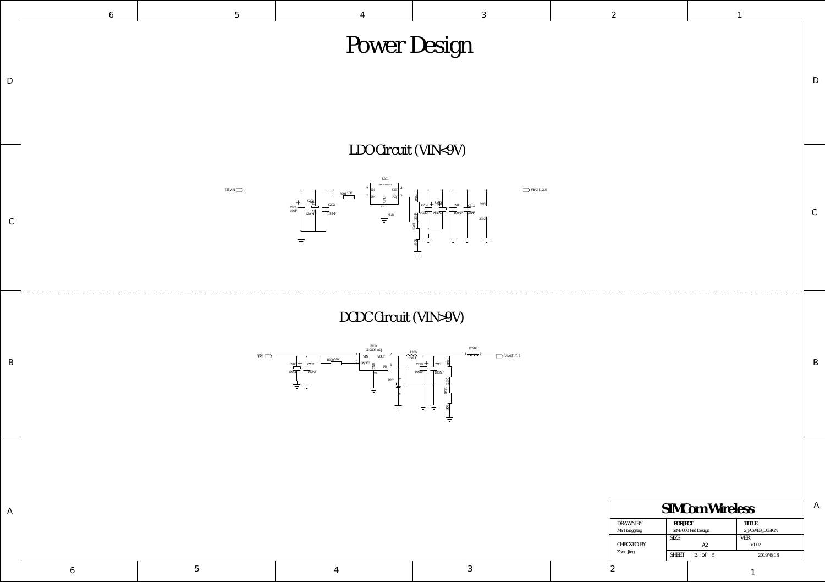| SIMCom Wireless         |                               |                                |  |  |  |
|-------------------------|-------------------------------|--------------------------------|--|--|--|
| DRAWN BY<br>Ma Honggang | PORJECT<br>SIM7600 Ref Design | <b>TITLE</b><br>2 POWER DESIGN |  |  |  |
|                         |                               |                                |  |  |  |
| CHECKED BY<br>Zhou Jing | <b>SIZE</b>                   | VER                            |  |  |  |
|                         | A2                            | V1.02                          |  |  |  |
|                         | SHEET 2 of 5                  | 2019/6/18                      |  |  |  |
|                         |                               |                                |  |  |  |

1



| $\mathcal{S}$                                                                                                                                                      | $\mathcal{Z}$ | $\perp$                        |
|--------------------------------------------------------------------------------------------------------------------------------------------------------------------|---------------|--------------------------------|
| sign                                                                                                                                                               |               | $\mathbf D$                    |
| $\langle 9V \rangle$<br>$\sum$ VBAT [1,2,3]<br>$\frac{5}{1}$<br>$C208$ $C213$ R204<br>$\sqrt{100NF}$ $\sqrt{33PF}$<br>$\overline{C}$<br>33KR<br>$\equiv$<br>吉<br>言 |               | $\mathsf C$                    |
| $\text{S}(V)$<br>FB200<br>$\bigcup$ VBAT[1,2,3]<br>R205<br>$\overline{7}$<br>NF<br>2.2K<br>$\frac{1 \text{KR}}{2084}$<br>吉                                         |               | $\, {\bf B}$                   |
|                                                                                                                                                                    |               | $\mathbb A$<br>SIMCom Wireless |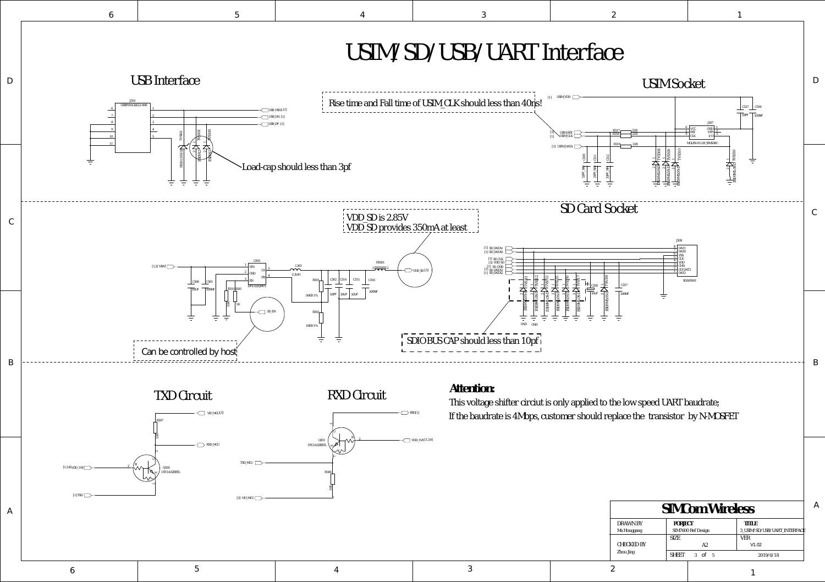6 5 4 3 2

| SIMCom Wireless                |             |                    |                |                              |
|--------------------------------|-------------|--------------------|----------------|------------------------------|
| DRAWN BY                       | PORJECT     |                    |                | <b>TITLE</b>                 |
| Ma Honggang                    |             | SIM7600 Ref Design |                | 3 USIM/SD/USB/UART INTERFACE |
| <b>CHECKED BY</b><br>Zhou Jing | <b>SIZE</b> |                    |                | <b>VER</b>                   |
|                                |             | A2                 |                | V1.02                        |
|                                | SHEET       | 3 of               | $5\phantom{0}$ | 2019/6/18                    |
|                                |             |                    |                |                              |

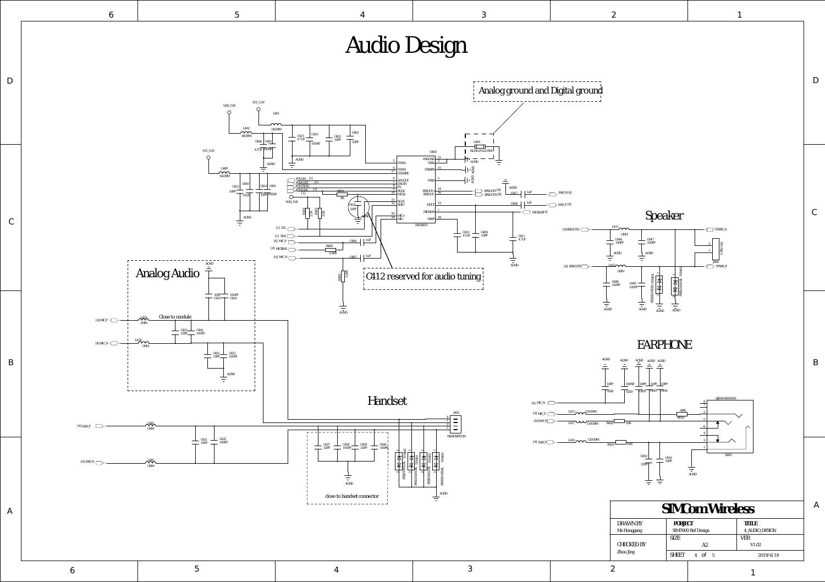A

6 5 4 3 2

6  $1$  5  $1$ 

1

SHEET 4 of

2019/6/18

Audio Design VCC\_3.3V VDD\_1V8  $\circ$ L401  $\overline{\mathbf{C}}$ 1KOHM C403 C416 1KOHM C415 C402  $T_{33PF}$ 4.7UF 10PF C404 C405 100NF VCC\_3.3V 100NF 4.7UF U400  $\circ$ PADGND 21<br>VDDA VSSA 3 AGND 2 AGND  $\equiv$  $\overbrace{ }^{1400}$ 4 **VSSSF** 17 VDDD<br>VDDSPK 1KOHM P<u>CM\_IN [1]</u><br>PCM\_OUT [1]<br>PCM\_SYNC  $rac{6}{7}$  ADCOUT VSSD 5 C400 AC<sub>IN</sub> C414 C401 C413  $rac{8}{9}$  FS <u>pcm\_clk [1]</u><br>[1] SPKOUT+ $\frac{14}{16}$ R401  $\frac{1}{10}$  BCLK<br>MCLK 10PF  $\Box$ 33PF 100NF 10UF 0R  $\frac{11}{12}$  SCLK<br>SDIO 13 VDD\_1V8  $\left(412 + \sqrt{412 + \sqrt{12}}\right)$  SCLK MOUT  $\left(13 + \sqrt{408 + \sqrt{12}}\right)$  EAR\_P  $\left(41\right)$  EAR\_P  $\left(41\right)$ C412 R402 R403 33PF 1 MICBIA 2.2K 2.2K  $\frac{20}{10}$  MIC+ AGND AGND  $VREF$ NAU8810  $[1]$  SCL  $\Box$ [1] SDA  $1406$  1 [4] MIC\_P R404 [4] MICBIAS 2.2KR [4] MIC\_N  $C407$   $1uF$ AGND Analog Audio 2.2KR C412 reserved for audio tuning R405 33PF 100PF<br>C423 T C424  $\frac{1}{\overline{100}}$ Close to module L433  $[4]$  MIC\_P  $\qquad$ OHM C425 33PF C426 100PF L434  $[4]$ MIC\_N  $\qquad \qquad \longrightarrow$ OHM C421 33PF C422 100PF AGND Handset  $\mathcal{A}^{443}$ [4] EAR\_P OHM C435 C451 33PF 100PF 100PF 100PF 2430 100PF 33PF 100PF 33PF 100PF TVS400  $\overline{\phantom{0}}$  $\overline{\phantom{0}}$  $\overline{\phantom{0}}$  $\overline{\phantom{0}}$ TVS403 TVS402 TVS401  $[4]$  EAR\_N  $\Box$  $\mathcal{A}^{445}$ PESD5V0S1BL OHM PESD5V0S1BL PESD5V0S1BL PESD5V0S1BL  $\sim$  $\sim$  $\sim$  $\sim$ 百 AGND close to handset connector ŧ <u>Lassassassassassassa</u>

A

B

C

![](_page_3_Figure_7.jpeg)

D

D

C

B